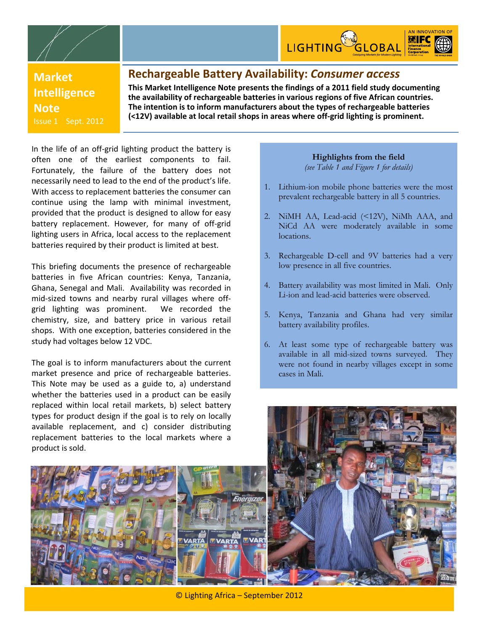



**Market Intelligence Note** Issue 1 Sept. 2012

## **Rechargeable Battery Availability:** *Consumer access*

**This Market Intelligence Note presents the findings of a 2011 field study documenting the availability of rechargeable batteries in various regions of five African countries. The intention is to inform manufacturers about the types of rechargeable batteries (<12V) available at local retail shops in areas where off‐grid lighting is prominent.**

In the life of an off‐grid lighting product the battery is often one of the earliest components to fail. Fortunately, the failure of the battery does not necessarily need to lead to the end of the product's life. With access to replacement batteries the consumer can continue using the lamp with minimal investment, provided that the product is designed to allow for easy battery replacement. However, for many of off-grid lighting users in Africa, local access to the replacement batteries required by their product is limited at best.

This briefing documents the presence of rechargeable batteries in five African countries: Kenya, Tanzania, Ghana, Senegal and Mali. Availability was recorded in mid‐sized towns and nearby rural villages where off‐ grid lighting was prominent. We recorded the chemistry, size, and battery price in various retail shops. With one exception, batteries considered in the study had voltages below 12 VDC.

The goal is to inform manufacturers about the current market presence and price of rechargeable batteries. This Note may be used as a guide to, a) understand whether the batteries used in a product can be easily replaced within local retail markets, b) select battery types for product design if the goal is to rely on locally available replacement, and c) consider distributing replacement batteries to the local markets where a product is sold.

## **Highlights from the field**

*(see Table 1 and Figure 1 for details)* 

- 1. Lithium-ion mobile phone batteries were the most prevalent rechargeable battery in all 5 countries.
- 2. NiMH AA, Lead-acid (<12V), NiMh AAA, and NiCd AA were moderately available in some locations.
- 3. Rechargeable D-cell and 9V batteries had a very low presence in all five countries.
- 4. Battery availability was most limited in Mali. Only Li-ion and lead-acid batteries were observed.
- 5. Kenya, Tanzania and Ghana had very similar battery availability profiles.
- 6. At least some type of rechargeable battery was available in all mid-sized towns surveyed. They were not found in nearby villages except in some cases in Mali.



© Lighting Africa – September 2012